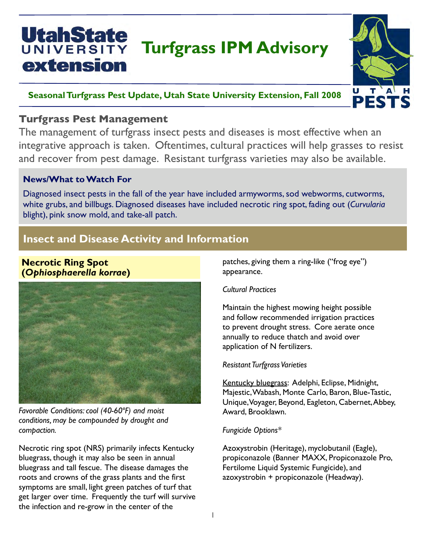# UtahState **Turfgrass IPM Advisory** extension



# **Seasonal Turfgrass Pest Update, Utah State University Extension, Fall 2008**

# **Turfgrass Pest Management**

integrative approach is taken. Oftentimes, cultural practices will help grasses to resist The management of turfgrass insect pests and diseases is most effective when an and recover from pest damage. Resistant turfgrass varieties may also be available.

# **News/What to Watch For**

Diagnosed insect pests in the fall of the year have included armyworms, sod webworms, cutworms, white grubs, and billbugs. Diagnosed diseases have included necrotic ring spot, fading out (*Curvularia* blight), pink snow mold, and take-all patch.

# **Insect and Disease Activity and Information**

## **Necrotic Ring Spot (***Ophiosphaerella korrae***)**



*Favorable Conditions: cool (40-60ºF) and moist conditions, may be compounded by drought and compaction.*

Necrotic ring spot (NRS) primarily infects Kentucky bluegrass, though it may also be seen in annual bluegrass and tall fescue. The disease damages the roots and crowns of the grass plants and the first symptoms are small, light green patches of turf that get larger over time. Frequently the turf will survive the infection and re-grow in the center of the

patches, giving them a ring-like ("frog eye") appearance.

### *Cultural Practices*

Maintain the highest mowing height possible and follow recommended irrigation practices to prevent drought stress. Core aerate once annually to reduce thatch and avoid over application of N fertilizers.

#### *Resistant Turfgrass Varieties*

Kentucky bluegrass: Adelphi, Eclipse, Midnight, Majestic, Wabash, Monte Carlo, Baron, Blue-Tastic, Unique, Voyager, Beyond, Eagleton, Cabernet, Abbey, Award, Brooklawn.

### *Fungicide Options\**

Azoxystrobin (Heritage), myclobutanil (Eagle), propiconazole (Banner MAXX, Propiconazole Pro, Fertilome Liquid Systemic Fungicide), and azoxystrobin + propiconazole (Headway).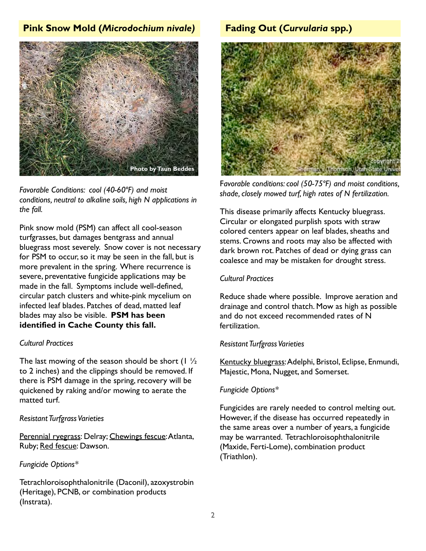# **Pink Snow Mold (***Microdochium nivale)* **Fading Out (***Curvularia* **spp.)**



*Favorable Conditions: cool (40-60ºF) and moist conditions, neutral to alkaline soils, high N applications in the fall.*

Pink snow mold (PSM) can affect all cool-season turfgrasses, but damages bentgrass and annual bluegrass most severely. Snow cover is not necessary for PSM to occur, so it may be seen in the fall, but is more prevalent in the spring. Where recurrence is severe, preventative fungicide applications may be made in the fall. Symptoms include well-defined, circular patch clusters and white-pink mycelium on infected leaf blades. Patches of dead, matted leaf blades may also be visible. **PSM has been identified in Cache County this fall.**

#### *Cultural Practices*

The last mowing of the season should be short  $(1 \frac{1}{2})$ to 2 inches) and the clippings should be removed. If there is PSM damage in the spring, recovery will be quickened by raking and/or mowing to aerate the matted turf.

#### *Resistant Turfgrass Varieties*

Perennial ryegrass: Delray; Chewings fescue: Atlanta, Ruby; Red fescue: Dawson.

#### *Fungicide Options\**

Tetrachloroisophthalonitrile (Daconil), azoxystrobin (Heritage), PCNB, or combination products (Instrata).



F*avorable conditions: cool (50-75ºF) and moist conditions, shade, closely mowed turf, high rates of N fertilization.*

This disease primarily affects Kentucky bluegrass. Circular or elongated purplish spots with straw colored centers appear on leaf blades, sheaths and stems. Crowns and roots may also be affected with dark brown rot. Patches of dead or dying grass can coalesce and may be mistaken for drought stress.

#### *Cultural Practices*

Reduce shade where possible. Improve aeration and drainage and control thatch. Mow as high as possible and do not exceed recommended rates of N fertilization.

#### *Resistant Turfgrass Varieties*

Kentucky bluegrass: Adelphi, Bristol, Eclipse, Enmundi, Majestic, Mona, Nugget, and Somerset.

#### *Fungicide Options\**

Fungicides are rarely needed to control melting out. However, if the disease has occurred repeatedly in the same areas over a number of years, a fungicide may be warranted. Tetrachloroisophthalonitrile (Maxide, Ferti-Lome), combination product (Triathlon).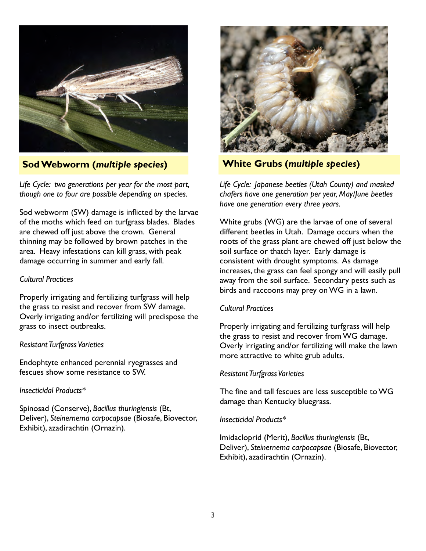

**Sod Webworm (***multiple species***) White Grubs (***multiple species***)**

*Life Cycle: two generations per year for the most part, though one to four are possible depending on species.*

Sod webworm (SW) damage is inflicted by the larvae of the moths which feed on turfgrass blades. Blades are chewed off just above the crown. General thinning may be followed by brown patches in the area. Heavy infestations can kill grass, with peak damage occurring in summer and early fall.

#### *Cultural Practices*

Properly irrigating and fertilizing turfgrass will help the grass to resist and recover from SW damage. Overly irrigating and/or fertilizing will predispose the grass to insect outbreaks.

#### *Resistant Turfgrass Varieties*

Endophtyte enhanced perennial ryegrasses and fescues show some resistance to SW.

#### *Insecticidal Products\**

Spinosad (Conserve), *Bacillus thuringiensis* (Bt, Deliver), *Steinernema carpocapsae* (Biosafe, Biovector, Exhibit), azadirachtin (Ornazin).



*Life Cycle: Japanese beetles (Utah County) and masked chafers have one generation per year, May/June beetles have one generation every three years.*

White grubs (WG) are the larvae of one of several different beetles in Utah. Damage occurs when the roots of the grass plant are chewed off just below the soil surface or thatch layer. Early damage is consistent with drought symptoms. As damage increases, the grass can feel spongy and will easily pull away from the soil surface. Secondary pests such as birds and raccoons may prey on WG in a lawn.

#### *Cultural Practices*

Properly irrigating and fertilizing turfgrass will help the grass to resist and recover from WG damage. Overly irrigating and/or fertilizing will make the lawn more attractive to white grub adults.

#### *Resistant Turfgrass Varieties*

The fine and tall fescues are less susceptible to WG damage than Kentucky bluegrass.

#### *Insecticidal Products\**

Imidacloprid (Merit), *Bacillus thuringiensis* (Bt, Deliver), *Steinernema carpocapsae* (Biosafe, Biovector, Exhibit), azadirachtin (Ornazin).